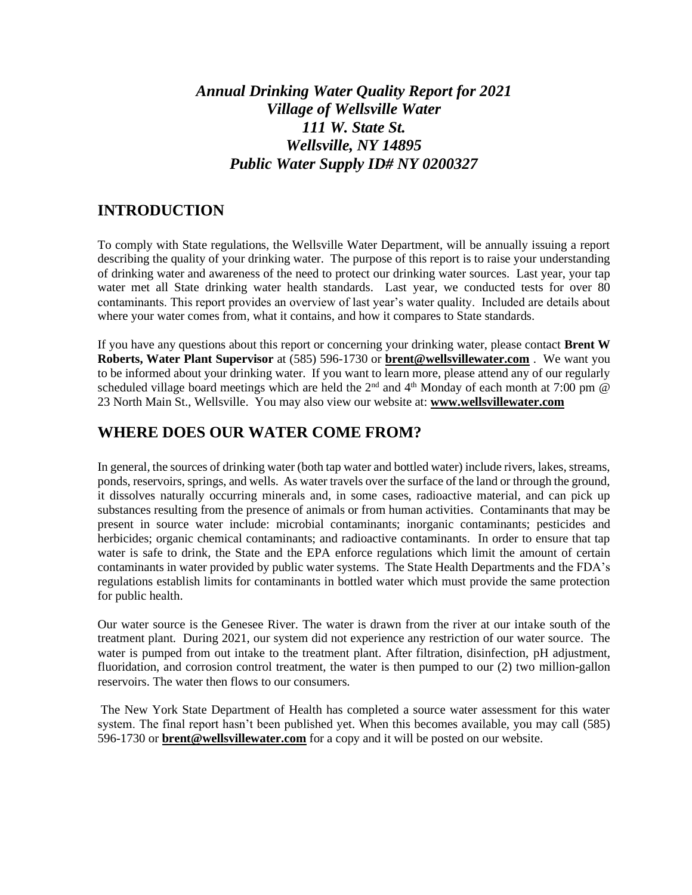# *Annual Drinking Water Quality Report for 2021 Village of Wellsville Water 111 W. State St. Wellsville, NY 14895 Public Water Supply ID# NY 0200327*

#### **INTRODUCTION**

To comply with State regulations, the Wellsville Water Department, will be annually issuing a report describing the quality of your drinking water. The purpose of this report is to raise your understanding of drinking water and awareness of the need to protect our drinking water sources. Last year, your tap water met all State drinking water health standards. Last year, we conducted tests for over 80 contaminants. This report provides an overview of last year's water quality. Included are details about where your water comes from, what it contains, and how it compares to State standards.

If you have any questions about this report or concerning your drinking water, please contact **Brent W Roberts, Water Plant Supervisor** at (585) 596-1730 or **[brent@wellsvillewater.com](mailto:brent@wellsvillewater.com)** . We want you to be informed about your drinking water. If you want to learn more, please attend any of our regularly scheduled village board meetings which are held the  $2<sup>nd</sup>$  and  $4<sup>th</sup>$  Monday of each month at 7:00 pm  $\omega$ 23 North Main St., Wellsville. You may also view our website at: **[www.wellsvillewater.com](http://www.wellsvillewater.com/)**

#### **WHERE DOES OUR WATER COME FROM?**

In general, the sources of drinking water (both tap water and bottled water) include rivers, lakes, streams, ponds, reservoirs, springs, and wells. As water travels over the surface of the land or through the ground, it dissolves naturally occurring minerals and, in some cases, radioactive material, and can pick up substances resulting from the presence of animals or from human activities. Contaminants that may be present in source water include: microbial contaminants; inorganic contaminants; pesticides and herbicides; organic chemical contaminants; and radioactive contaminants. In order to ensure that tap water is safe to drink, the State and the EPA enforce regulations which limit the amount of certain contaminants in water provided by public water systems. The State Health Departments and the FDA's regulations establish limits for contaminants in bottled water which must provide the same protection for public health.

Our water source is the Genesee River. The water is drawn from the river at our intake south of the treatment plant. During 2021, our system did not experience any restriction of our water source. The water is pumped from out intake to the treatment plant. After filtration, disinfection, pH adjustment, fluoridation, and corrosion control treatment, the water is then pumped to our (2) two million-gallon reservoirs. The water then flows to our consumers.

The New York State Department of Health has completed a source water assessment for this water system. The final report hasn't been published yet. When this becomes available, you may call (585) 596-1730 or **[brent@wellsvillewater.com](mailto:brent@wellsvillewater.com)** for a copy and it will be posted on our website.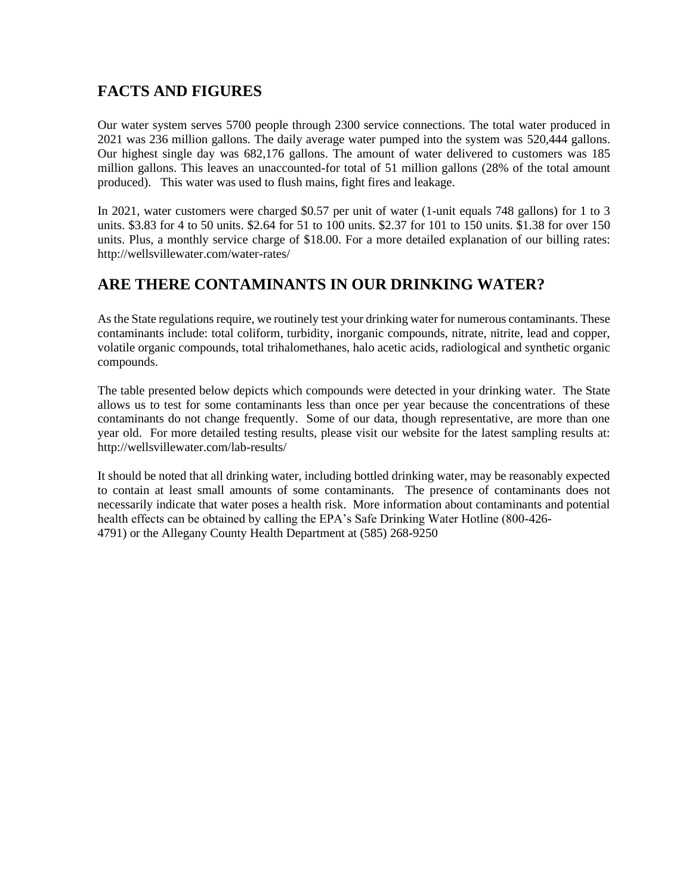# **FACTS AND FIGURES**

Our water system serves 5700 people through 2300 service connections. The total water produced in 2021 was 236 million gallons. The daily average water pumped into the system was 520,444 gallons. Our highest single day was 682,176 gallons. The amount of water delivered to customers was 185 million gallons. This leaves an unaccounted-for total of 51 million gallons (28% of the total amount produced). This water was used to flush mains, fight fires and leakage.

In 2021, water customers were charged \$0.57 per unit of water (1-unit equals 748 gallons) for 1 to 3 units. \$3.83 for 4 to 50 units. \$2.64 for 51 to 100 units. \$2.37 for 101 to 150 units. \$1.38 for over 150 units. Plus, a monthly service charge of \$18.00. For a more detailed explanation of our billing rates: http://wellsvillewater.com/water-rates/

# **ARE THERE CONTAMINANTS IN OUR DRINKING WATER?**

As the State regulations require, we routinely test your drinking water for numerous contaminants. These contaminants include: total coliform, turbidity, inorganic compounds, nitrate, nitrite, lead and copper, volatile organic compounds, total trihalomethanes, halo acetic acids, radiological and synthetic organic compounds.

The table presented below depicts which compounds were detected in your drinking water. The State allows us to test for some contaminants less than once per year because the concentrations of these contaminants do not change frequently. Some of our data, though representative, are more than one year old. For more detailed testing results, please visit our website for the latest sampling results at: http://wellsvillewater.com/lab-results/

It should be noted that all drinking water, including bottled drinking water, may be reasonably expected to contain at least small amounts of some contaminants. The presence of contaminants does not necessarily indicate that water poses a health risk. More information about contaminants and potential health effects can be obtained by calling the EPA's Safe Drinking Water Hotline (800-426- 4791) or the Allegany County Health Department at (585) 268-9250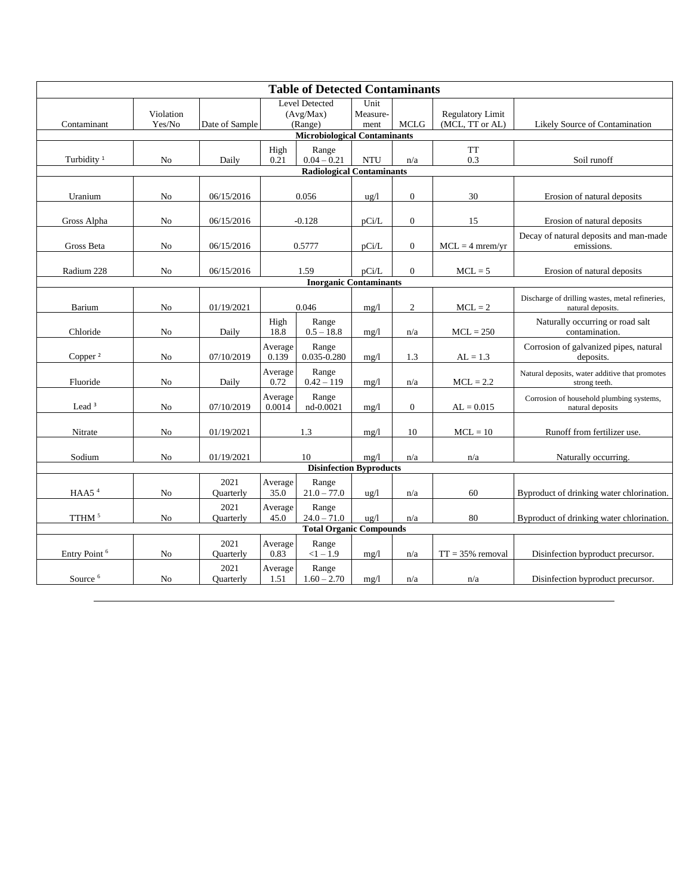| <b>Table of Detected Contaminants</b> |                     |                   |                                               |                          |                          |                  |                                            |                                                                      |
|---------------------------------------|---------------------|-------------------|-----------------------------------------------|--------------------------|--------------------------|------------------|--------------------------------------------|----------------------------------------------------------------------|
| Contaminant                           | Violation<br>Yes/No | Date of Sample    | <b>Level Detected</b><br>(Avg/Max)<br>(Range) |                          | Unit<br>Measure-<br>ment | <b>MCLG</b>      | <b>Regulatory Limit</b><br>(MCL, TT or AL) | Likely Source of Contamination                                       |
| <b>Microbiological Contaminants</b>   |                     |                   |                                               |                          |                          |                  |                                            |                                                                      |
| Turbidity <sup>1</sup>                | N <sub>0</sub>      | Daily             | High<br>0.21                                  | Range<br>$0.04 - 0.21$   | <b>NTU</b>               | n/a              | <b>TT</b><br>0.3                           | Soil runoff                                                          |
| <b>Radiological Contaminants</b>      |                     |                   |                                               |                          |                          |                  |                                            |                                                                      |
| Uranium                               | No                  | 06/15/2016        | 0.056                                         |                          | $\frac{u}{g}$            | $\boldsymbol{0}$ | 30                                         | Erosion of natural deposits                                          |
| Gross Alpha                           | No                  | 06/15/2016        | $-0.128$                                      |                          | pCi/L                    | $\boldsymbol{0}$ | 15                                         | Erosion of natural deposits                                          |
| Gross Beta                            | No                  | 06/15/2016        | 0.5777                                        |                          | pCi/L                    | $\boldsymbol{0}$ | $MCL = 4$ mrem/yr                          | Decay of natural deposits and man-made<br>emissions.                 |
| Radium 228                            | No                  | 06/15/2016        | 1.59                                          |                          | pCi/L                    | $\boldsymbol{0}$ | $MCL = 5$                                  | Erosion of natural deposits                                          |
| <b>Inorganic Contaminants</b>         |                     |                   |                                               |                          |                          |                  |                                            |                                                                      |
| Barium                                | No                  | 01/19/2021        | 0.046                                         |                          | mg/1                     | $\overline{c}$   | $MCL = 2$                                  | Discharge of drilling wastes, metal refineries,<br>natural deposits. |
| Chloride                              | No                  | Daily             | High<br>18.8                                  | Range<br>$0.5 - 18.8$    | mg/1                     | n/a              | $MCL = 250$                                | Naturally occurring or road salt<br>contamination.                   |
| Copper <sup>2</sup>                   | N <sub>o</sub>      | 07/10/2019        | Average<br>0.139                              | Range<br>$0.035 - 0.280$ | mg/1                     | 1.3              | $AL = 1.3$                                 | Corrosion of galvanized pipes, natural<br>deposits.                  |
| Fluoride                              | N <sub>o</sub>      | Daily             | Average<br>0.72                               | Range<br>$0.42 - 119$    | mg/l                     | n/a              | $MCL = 2.2$                                | Natural deposits, water additive that promotes<br>strong teeth.      |
| Lead <sup>3</sup>                     | No                  | 07/10/2019        | Average<br>0.0014                             | Range<br>nd-0.0021       | mg/1                     | $\boldsymbol{0}$ | $AL = 0.015$                               | Corrosion of household plumbing systems,<br>natural deposits         |
| Nitrate                               | No                  | 01/19/2021        | 1.3                                           |                          | mg/1                     | 10               | $MCL = 10$                                 | Runoff from fertilizer use.                                          |
| Sodium                                | No                  | 01/19/2021        | 10                                            |                          | mg/1                     | n/a              | n/a                                        | Naturally occurring.                                                 |
| <b>Disinfection Byproducts</b>        |                     |                   |                                               |                          |                          |                  |                                            |                                                                      |
| HAA5 $4$                              | No                  | 2021<br>Quarterly | Average<br>35.0                               | Range<br>$21.0 - 77.0$   | $\frac{u}{g}$            | n/a              | 60                                         | Byproduct of drinking water chlorination.                            |
| TTHM <sup>5</sup>                     | No                  | 2021<br>Quarterly | Average<br>45.0                               | Range<br>$24.0 - 71.0$   | $u\frac{g}{l}$           | n/a              | 80                                         | Byproduct of drinking water chlorination.                            |
| <b>Total Organic Compounds</b>        |                     |                   |                                               |                          |                          |                  |                                            |                                                                      |
| Entry Point <sup>6</sup>              | No                  | 2021<br>Quarterly | Average<br>0.83                               | Range<br>$<1 - 1.9$      | mg/1                     | n/a              | $TT = 35\%$ removal                        | Disinfection byproduct precursor.                                    |
| Source <sup>6</sup>                   | No                  | 2021<br>Quarterly | Average<br>1.51                               | Range<br>$1.60 - 2.70$   | mg/1                     | n/a              | n/a                                        | Disinfection byproduct precursor.                                    |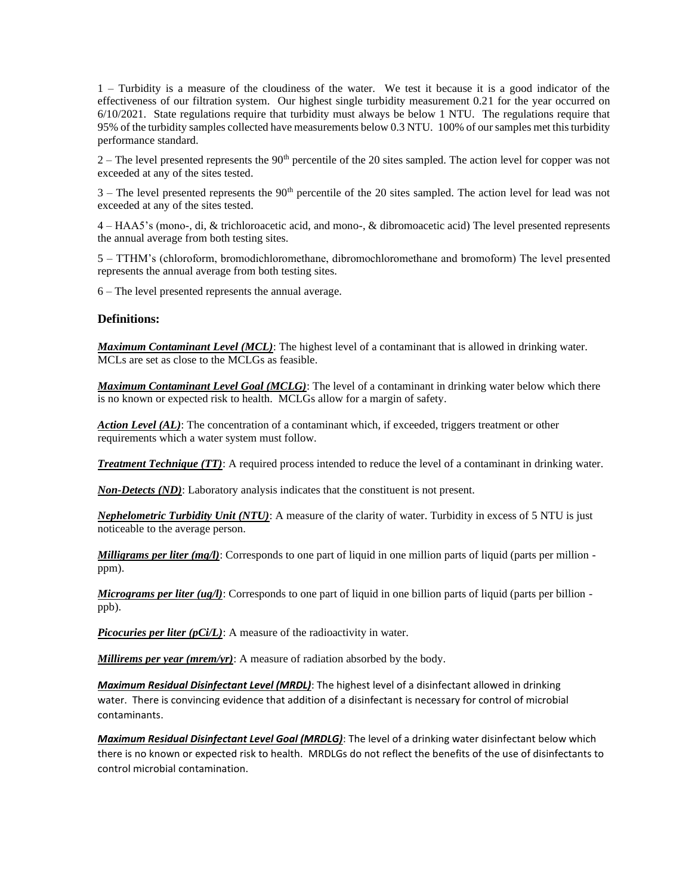1 – Turbidity is a measure of the cloudiness of the water. We test it because it is a good indicator of the effectiveness of our filtration system. Our highest single turbidity measurement 0.21 for the year occurred on 6/10/2021. State regulations require that turbidity must always be below 1 NTU. The regulations require that 95% of the turbidity samples collected have measurements below 0.3 NTU. 100% of our samples met this turbidity performance standard.

2 – The level presented represents the 90th percentile of the 20 sites sampled. The action level for copper was not exceeded at any of the sites tested.

 $3$  – The level presented represents the  $90<sup>th</sup>$  percentile of the 20 sites sampled. The action level for lead was not exceeded at any of the sites tested.

4 – HAA5's (mono-, di, & trichloroacetic acid, and mono-, & dibromoacetic acid) The level presented represents the annual average from both testing sites.

5 – TTHM's (chloroform, bromodichloromethane, dibromochloromethane and bromoform) The level presented represents the annual average from both testing sites.

6 – The level presented represents the annual average.

#### **Definitions:**

*Maximum Contaminant Level (MCL)*: The highest level of a contaminant that is allowed in drinking water. MCLs are set as close to the MCLGs as feasible.

*Maximum Contaminant Level Goal (MCLG)*: The level of a contaminant in drinking water below which there is no known or expected risk to health. MCLGs allow for a margin of safety.

*Action Level (AL)*: The concentration of a contaminant which, if exceeded, triggers treatment or other requirements which a water system must follow.

*Treatment Technique (TT)*: A required process intended to reduce the level of a contaminant in drinking water.

*Non-Detects (ND)*: Laboratory analysis indicates that the constituent is not present.

*Nephelometric Turbidity Unit (NTU)*: A measure of the clarity of water. Turbidity in excess of 5 NTU is just noticeable to the average person.

*Milligrams per liter (mg/l)*: Corresponds to one part of liquid in one million parts of liquid (parts per million ppm).

*Micrograms per liter (ug/l)*: Corresponds to one part of liquid in one billion parts of liquid (parts per billion ppb).

*Picocuries per liter (pCi/L)*: A measure of the radioactivity in water.

*Millirems per year (mrem/yr)*: A measure of radiation absorbed by the body.

*Maximum Residual Disinfectant Level (MRDL)*: The highest level of a disinfectant allowed in drinking water. There is convincing evidence that addition of a disinfectant is necessary for control of microbial contaminants.

*Maximum Residual Disinfectant Level Goal (MRDLG)*: The level of a drinking water disinfectant below which there is no known or expected risk to health. MRDLGs do not reflect the benefits of the use of disinfectants to control microbial contamination.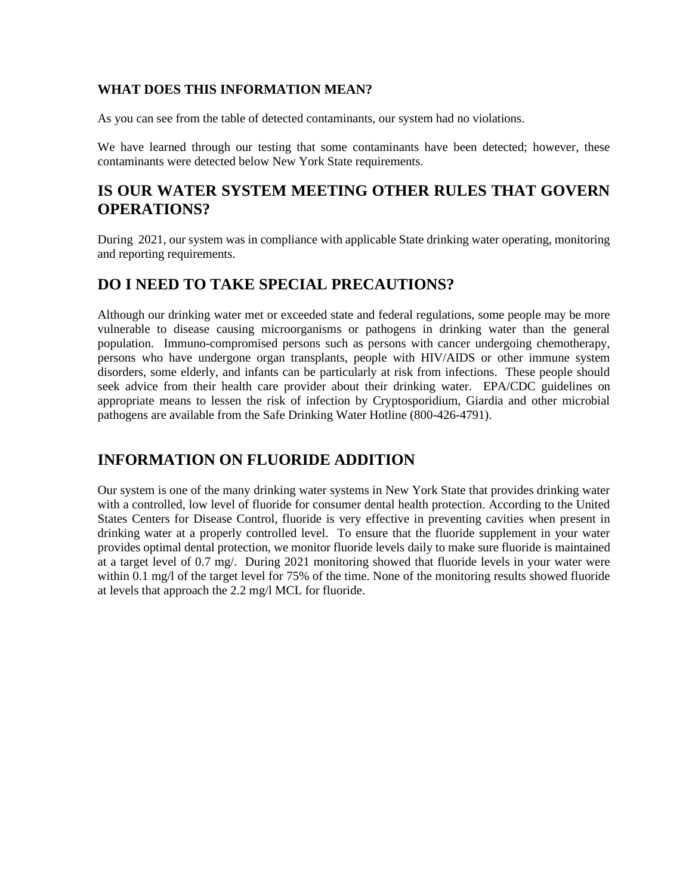#### **WHAT DOES THIS INFORMATION MEAN?**

As you can see from the table of detected contaminants, our system had no violations.

We have learned through our testing that some contaminants have been detected; however, these contaminants were detected below New York State requirements.

## **IS OUR WATER SYSTEM MEETING OTHER RULES THAT GOVERN OPERATIONS?**

During 2021, our system was in compliance with applicable State drinking water operating, monitoring and reporting requirements.

# **DO I NEED TO TAKE SPECIAL PRECAUTIONS?**

Although our drinking water met or exceeded state and federal regulations, some people may be more vulnerable to disease causing microorganisms or pathogens in drinking water than the general population. Immuno-compromised persons such as persons with cancer undergoing chemotherapy, persons who have undergone organ transplants, people with HIV/AIDS or other immune system disorders, some elderly, and infants can be particularly at risk from infections. These people should seek advice from their health care provider about their drinking water. EPA/CDC guidelines on appropriate means to lessen the risk of infection by Cryptosporidium, Giardia and other microbial pathogens are available from the Safe Drinking Water Hotline (800-426-4791).

## **INFORMATION ON FLUORIDE ADDITION**

Our system is one of the many drinking water systems in New York State that provides drinking water with a controlled, low level of fluoride for consumer dental health protection. According to the United States Centers for Disease Control, fluoride is very effective in preventing cavities when present in drinking water at a properly controlled level. To ensure that the fluoride supplement in your water provides optimal dental protection, we monitor fluoride levels daily to make sure fluoride is maintained at a target level of 0.7 mg/. During 2021 monitoring showed that fluoride levels in your water were within 0.1 mg/l of the target level for 75% of the time. None of the monitoring results showed fluoride at levels that approach the 2.2 mg/l MCL for fluoride.